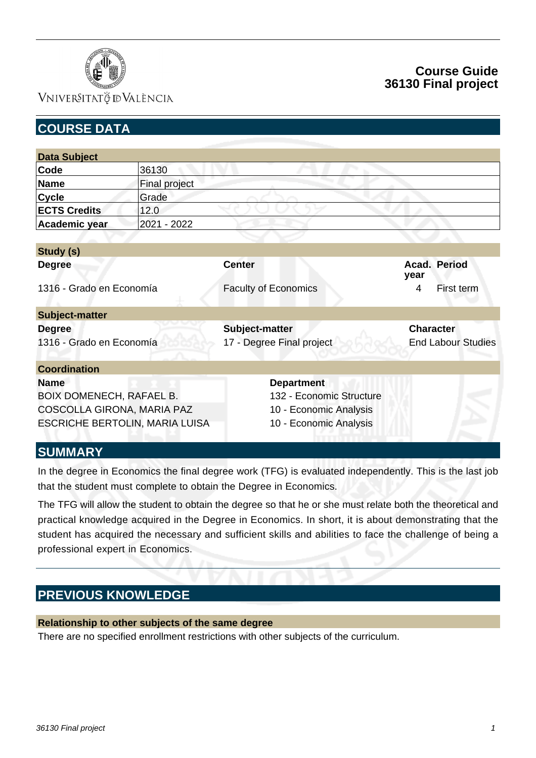

## **Course Guide 36130 Final project**

| <b>COURSE DATA</b>              |                      |                             |                           |
|---------------------------------|----------------------|-----------------------------|---------------------------|
|                                 |                      |                             |                           |
| <b>Data Subject</b>             |                      |                             |                           |
| Code                            | 36130                |                             |                           |
| <b>Name</b>                     | <b>Final project</b> |                             |                           |
| <b>Cycle</b>                    | Grade                |                             |                           |
| <b>ECTS Credits</b>             | 12.0                 |                             |                           |
| Academic year                   | 2021 - 2022          |                             |                           |
|                                 |                      |                             |                           |
| Study (s)                       |                      |                             |                           |
| <b>Degree</b>                   |                      | <b>Center</b>               | Acad. Period<br>year      |
| 1316 - Grado en Economía        |                      | <b>Faculty of Economics</b> | 4<br>First term           |
| <b>Subject-matter</b>           |                      |                             |                           |
| <b>Degree</b>                   |                      | Subject-matter              | <b>Character</b>          |
| 1316 - Grado en Economía        |                      | 17 - Degree Final project   | <b>End Labour Studies</b> |
| <b>Coordination</b>             |                      |                             |                           |
| <b>Name</b>                     |                      | <b>Department</b>           |                           |
| <b>BOIX DOMENECH, RAFAEL B.</b> |                      | 132 - Economic Structure    |                           |
| COSCOLLA GIRONA, MARIA PAZ      |                      | 10 - Economic Analysis      |                           |
| ESCRICHE BERTOLIN, MARIA LUISA  |                      | 10 - Economic Analysis      |                           |
| OLIBARA A DAZ                   |                      |                             |                           |

#### **SUMMARY**

In the degree in Economics the final degree work (TFG) is evaluated independently. This is the last job that the student must complete to obtain the Degree in Economics.

The TFG will allow the student to obtain the degree so that he or she must relate both the theoretical and practical knowledge acquired in the Degree in Economics. In short, it is about demonstrating that the student has acquired the necessary and sufficient skills and abilities to face the challenge of being a professional expert in Economics.

## **PREVIOUS KNOWLEDGE**

#### **Relationship to other subjects of the same degree**

There are no specified enrollment restrictions with other subjects of the curriculum.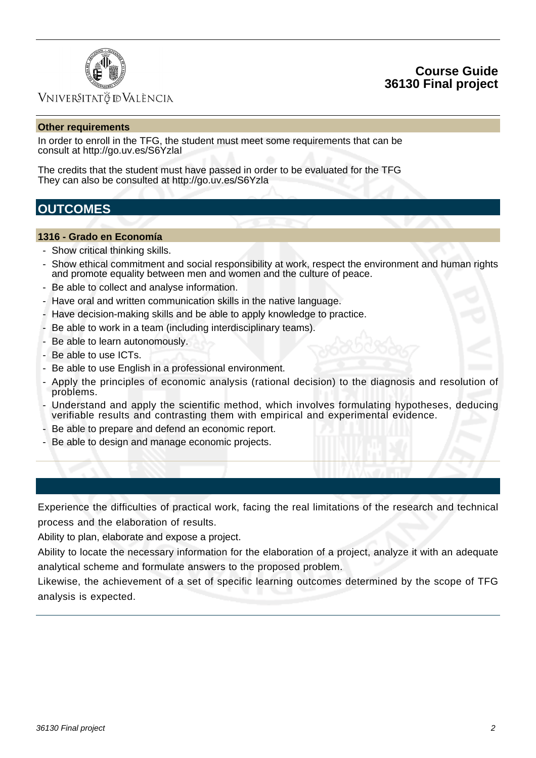



#### **Other requirements**

In order to enroll in the TFG, the student must meet some requirements that can be consult at http://go.uv.es/S6YzlaI

The credits that the student must have passed in order to be evaluated for the TFG They can also be consulted at http://go.uv.es/S6Yzla

### **OUTCOMES**

#### **1316 - Grado en Economía**

- Show critical thinking skills.
- Show ethical commitment and social responsibility at work, respect the environment and human rights and promote equality between men and women and the culture of peace.
- Be able to collect and analyse information.
- Have oral and written communication skills in the native language.
- Have decision-making skills and be able to apply knowledge to practice.
- Be able to work in a team (including interdisciplinary teams).
- Be able to learn autonomously.
- Be able to use ICTs.
- Be able to use English in a professional environment.
- Apply the principles of economic analysis (rational decision) to the diagnosis and resolution of problems.
- Understand and apply the scientific method, which involves formulating hypotheses, deducing verifiable results and contrasting them with empirical and experimental evidence.
- Be able to prepare and defend an economic report.
- Be able to design and manage economic projects.

Experience the difficulties of practical work, facing the real limitations of the research and technical process and the elaboration of results.

Ability to plan, elaborate and expose a project.

Ability to locate the necessary information for the elaboration of a project, analyze it with an adequate analytical scheme and formulate answers to the proposed problem.

Likewise, the achievement of a set of specific learning outcomes determined by the scope of TFG analysis is expected.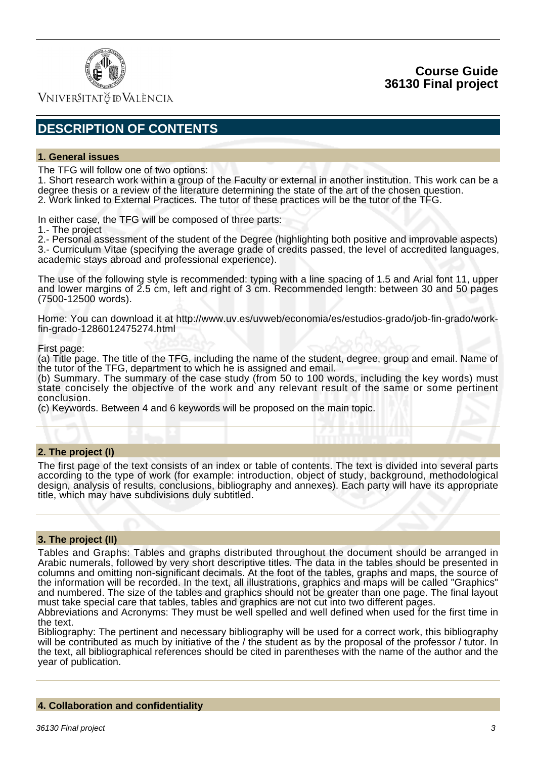

Vniver§itatğ dValència

## **DESCRIPTION OF CONTENTS**

#### **1. General issues**

The TFG will follow one of two options:

1. Short research work within a group of the Faculty or external in another institution. This work can be a degree thesis or a review of the literature determining the state of the art of the chosen question. 2. Work linked to External Practices. The tutor of these practices will be the tutor of the TFG.

In either case, the TFG will be composed of three parts:

1.- The project

2.- Personal assessment of the student of the Degree (highlighting both positive and improvable aspects) 3.- Curriculum Vitae (specifying the average grade of credits passed, the level of accredited languages, academic stays abroad and professional experience).

The use of the following style is recommended: typing with a line spacing of 1.5 and Arial font 11, upper and lower margins of 2.5 cm, left and right of 3 cm. Recommended length: between 30 and 50 pages (7500-12500 words).

Home: You can download it at http://www.uv.es/uvweb/economia/es/estudios-grado/job-fin-grado/workfin-grado-1286012475274.html

First page:

(a) Title page. The title of the TFG, including the name of the student, degree, group and email. Name of the tutor of the TFG, department to which he is assigned and email.

(b) Summary. The summary of the case study (from 50 to 100 words, including the key words) must state concisely the objective of the work and any relevant result of the same or some pertinent conclusion.

(c) Keywords. Between 4 and 6 keywords will be proposed on the main topic.

#### **2. The project (I)**

The first page of the text consists of an index or table of contents. The text is divided into several parts according to the type of work (for example: introduction, object of study, background, methodological design, analysis of results, conclusions, bibliography and annexes). Each party will have its appropriate title, which may have subdivisions duly subtitled.

#### **3. The project (II)**

Tables and Graphs: Tables and graphs distributed throughout the document should be arranged in Arabic numerals, followed by very short descriptive titles. The data in the tables should be presented in columns and omitting non-significant decimals. At the foot of the tables, graphs and maps, the source of the information will be recorded. In the text, all illustrations, graphics and maps will be called "Graphics" and numbered. The size of the tables and graphics should not be greater than one page. The final layout must take special care that tables, tables and graphics are not cut into two different pages.

Abbreviations and Acronyms: They must be well spelled and well defined when used for the first time in the text.

Bibliography: The pertinent and necessary bibliography will be used for a correct work, this bibliography will be contributed as much by initiative of the / the student as by the proposal of the professor / tutor. In the text, all bibliographical references should be cited in parentheses with the name of the author and the year of publication.

#### **4. Collaboration and confidentiality**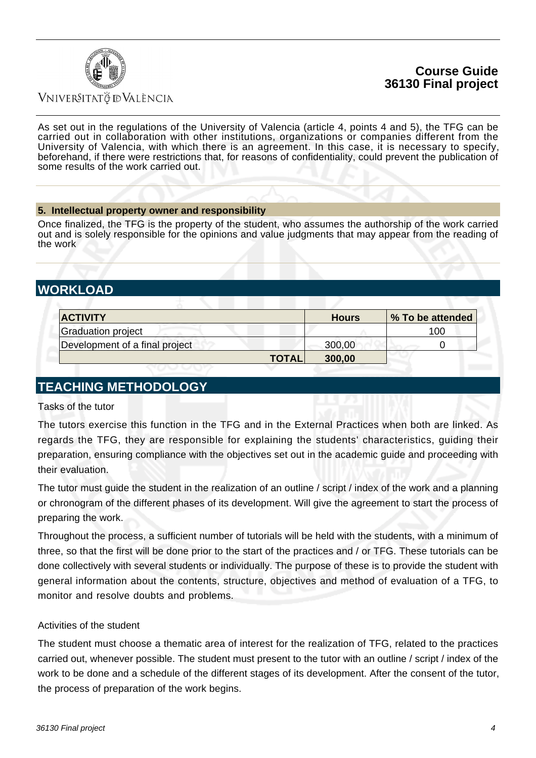### **Course Guide 36130 Final project**



### Vniver§itatğ dValència

As set out in the regulations of the University of Valencia (article 4, points 4 and 5), the TFG can be carried out in collaboration with other institutions, organizations or companies different from the University of Valencia, with which there is an agreement. In this case, it is necessary to specify, beforehand, if there were restrictions that, for reasons of confidentiality, could prevent the publication of some results of the work carried out.

#### **5. Intellectual property owner and responsibility**

Once finalized, the TFG is the property of the student, who assumes the authorship of the work carried out and is solely responsible for the opinions and value judgments that may appear from the reading of the work

## **WORKLOAD**

| <b>ACTIVITY</b>                | <b>Hours</b>           | % To be attended |
|--------------------------------|------------------------|------------------|
| <b>Graduation project</b>      |                        | 100              |
| Development of a final project | 300,00                 |                  |
|                                | <b>TOTAL</b><br>300,00 |                  |

### **TEACHING METHODOLOGY**

Tasks of the tutor

The tutors exercise this function in the TFG and in the External Practices when both are linked. As regards the TFG, they are responsible for explaining the students' characteristics, guiding their preparation, ensuring compliance with the objectives set out in the academic guide and proceeding with their evaluation.

The tutor must guide the student in the realization of an outline / script / index of the work and a planning or chronogram of the different phases of its development. Will give the agreement to start the process of preparing the work.

Throughout the process, a sufficient number of tutorials will be held with the students, with a minimum of three, so that the first will be done prior to the start of the practices and / or TFG. These tutorials can be done collectively with several students or individually. The purpose of these is to provide the student with general information about the contents, structure, objectives and method of evaluation of a TFG, to monitor and resolve doubts and problems.

#### Activities of the student

The student must choose a thematic area of interest for the realization of TFG, related to the practices carried out, whenever possible. The student must present to the tutor with an outline / script / index of the work to be done and a schedule of the different stages of its development. After the consent of the tutor, the process of preparation of the work begins.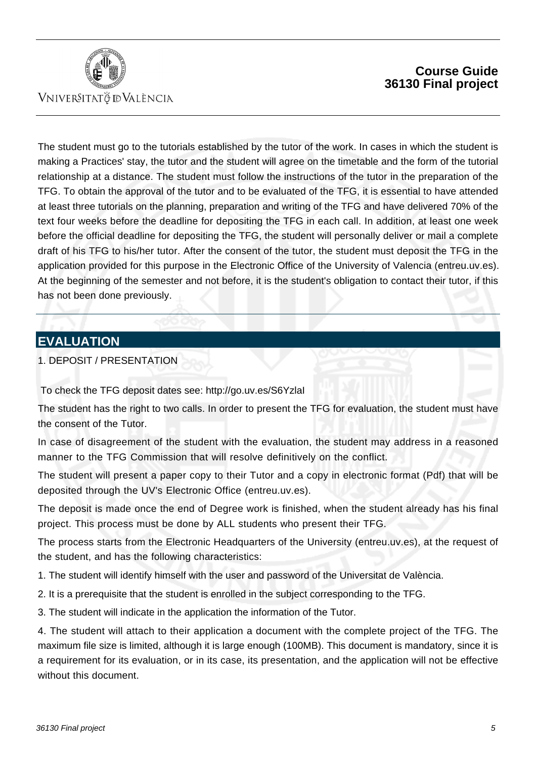

## **Course Guide 36130 Final project**

The student must go to the tutorials established by the tutor of the work. In cases in which the student is making a Practices' stay, the tutor and the student will agree on the timetable and the form of the tutorial relationship at a distance. The student must follow the instructions of the tutor in the preparation of the TFG. To obtain the approval of the tutor and to be evaluated of the TFG, it is essential to have attended at least three tutorials on the planning, preparation and writing of the TFG and have delivered 70% of the text four weeks before the deadline for depositing the TFG in each call. In addition, at least one week before the official deadline for depositing the TFG, the student will personally deliver or mail a complete draft of his TFG to his/her tutor. After the consent of the tutor, the student must deposit the TFG in the application provided for this purpose in the Electronic Office of the University of Valencia (entreu.uv.es). At the beginning of the semester and not before, it is the student's obligation to contact their tutor, if this has not been done previously.

## **EVALUATION**

1. DEPOSIT / PRESENTATION

To check the TFG deposit dates see: http://go.uv.es/S6YzlaI

The student has the right to two calls. In order to present the TFG for evaluation, the student must have the consent of the Tutor.

In case of disagreement of the student with the evaluation, the student may address in a reasoned manner to the TFG Commission that will resolve definitively on the conflict.

The student will present a paper copy to their Tutor and a copy in electronic format (Pdf) that will be deposited through the UV's Electronic Office (entreu.uv.es).

The deposit is made once the end of Degree work is finished, when the student already has his final project. This process must be done by ALL students who present their TFG.

The process starts from the Electronic Headquarters of the University (entreu.uv.es), at the request of the student, and has the following characteristics:

1. The student will identify himself with the user and password of the Universitat de València.

2. It is a prerequisite that the student is enrolled in the subject corresponding to the TFG.

3. The student will indicate in the application the information of the Tutor.

4. The student will attach to their application a document with the complete project of the TFG. The maximum file size is limited, although it is large enough (100MB). This document is mandatory, since it is a requirement for its evaluation, or in its case, its presentation, and the application will not be effective without this document.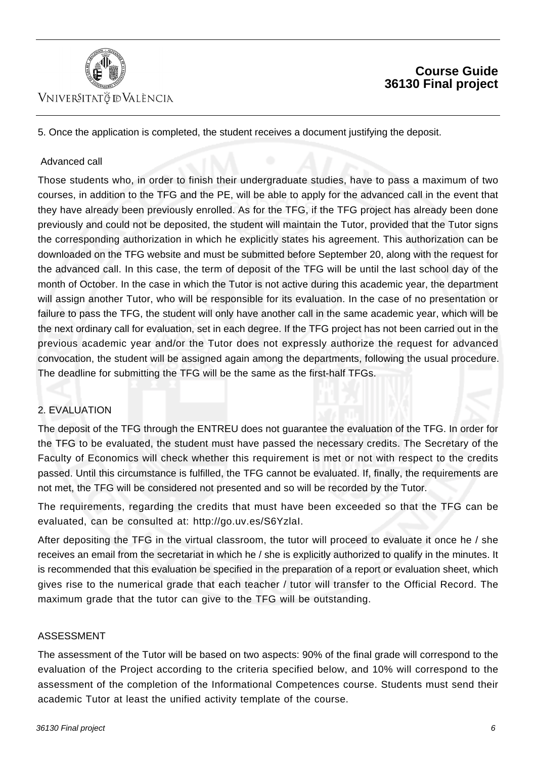

## **Course Guide 36130 Final project**

5. Once the application is completed, the student receives a document justifying the deposit.

#### Advanced call

Those students who, in order to finish their undergraduate studies, have to pass a maximum of two courses, in addition to the TFG and the PE, will be able to apply for the advanced call in the event that they have already been previously enrolled. As for the TFG, if the TFG project has already been done previously and could not be deposited, the student will maintain the Tutor, provided that the Tutor signs the corresponding authorization in which he explicitly states his agreement. This authorization can be downloaded on the TFG website and must be submitted before September 20, along with the request for the advanced call. In this case, the term of deposit of the TFG will be until the last school day of the month of October. In the case in which the Tutor is not active during this academic year, the department will assign another Tutor, who will be responsible for its evaluation. In the case of no presentation or failure to pass the TFG, the student will only have another call in the same academic year, which will be the next ordinary call for evaluation, set in each degree. If the TFG project has not been carried out in the previous academic year and/or the Tutor does not expressly authorize the request for advanced convocation, the student will be assigned again among the departments, following the usual procedure. The deadline for submitting the TFG will be the same as the first-half TFGs.

#### 2. EVALUATION

The deposit of the TFG through the ENTREU does not guarantee the evaluation of the TFG. In order for the TFG to be evaluated, the student must have passed the necessary credits. The Secretary of the Faculty of Economics will check whether this requirement is met or not with respect to the credits passed. Until this circumstance is fulfilled, the TFG cannot be evaluated. If, finally, the requirements are not met, the TFG will be considered not presented and so will be recorded by the Tutor.

The requirements, regarding the credits that must have been exceeded so that the TFG can be evaluated, can be consulted at: http://go.uv.es/S6YzlaI.

After depositing the TFG in the virtual classroom, the tutor will proceed to evaluate it once he / she receives an email from the secretariat in which he / she is explicitly authorized to qualify in the minutes. It is recommended that this evaluation be specified in the preparation of a report or evaluation sheet, which gives rise to the numerical grade that each teacher / tutor will transfer to the Official Record. The maximum grade that the tutor can give to the TFG will be outstanding.

#### ASSESSMENT

The assessment of the Tutor will be based on two aspects: 90% of the final grade will correspond to the evaluation of the Project according to the criteria specified below, and 10% will correspond to the assessment of the completion of the Informational Competences course. Students must send their academic Tutor at least the unified activity template of the course.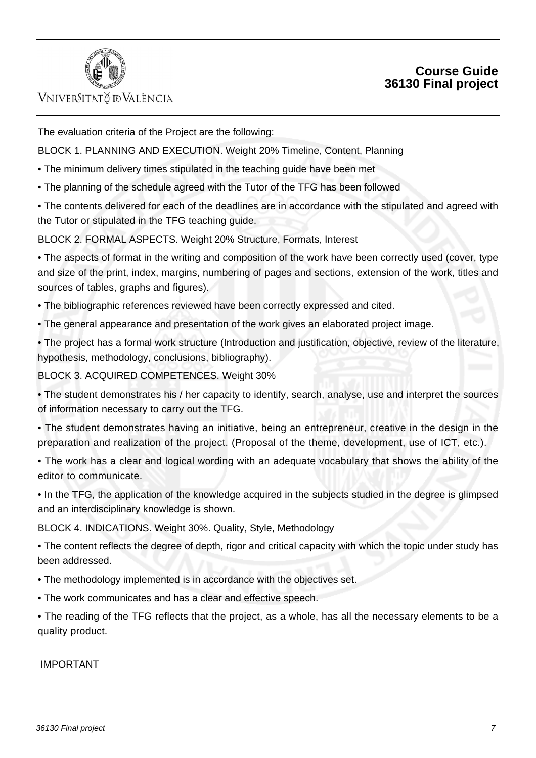

## **Course Guide 36130 Final project**

The evaluation criteria of the Project are the following:

BLOCK 1. PLANNING AND EXECUTION. Weight 20% Timeline, Content, Planning

- The minimum delivery times stipulated in the teaching guide have been met
- The planning of the schedule agreed with the Tutor of the TFG has been followed

• The contents delivered for each of the deadlines are in accordance with the stipulated and agreed with the Tutor or stipulated in the TFG teaching guide.

BLOCK 2. FORMAL ASPECTS. Weight 20% Structure, Formats, Interest

• The aspects of format in the writing and composition of the work have been correctly used (cover, type and size of the print, index, margins, numbering of pages and sections, extension of the work, titles and sources of tables, graphs and figures).

- The bibliographic references reviewed have been correctly expressed and cited.
- The general appearance and presentation of the work gives an elaborated project image.

• The project has a formal work structure (Introduction and justification, objective, review of the literature, hypothesis, methodology, conclusions, bibliography).

BLOCK 3. ACQUIRED COMPETENCES. Weight 30%

• The student demonstrates his / her capacity to identify, search, analyse, use and interpret the sources of information necessary to carry out the TFG.

- The student demonstrates having an initiative, being an entrepreneur, creative in the design in the preparation and realization of the project. (Proposal of the theme, development, use of ICT, etc.).
- The work has a clear and logical wording with an adequate vocabulary that shows the ability of the editor to communicate.
- In the TFG, the application of the knowledge acquired in the subjects studied in the degree is glimpsed and an interdisciplinary knowledge is shown.

BLOCK 4. INDICATIONS. Weight 30%. Quality, Style, Methodology

- The content reflects the degree of depth, rigor and critical capacity with which the topic under study has been addressed.
- The methodology implemented is in accordance with the objectives set.
- The work communicates and has a clear and effective speech.
- The reading of the TFG reflects that the project, as a whole, has all the necessary elements to be a quality product.

IMPORTANT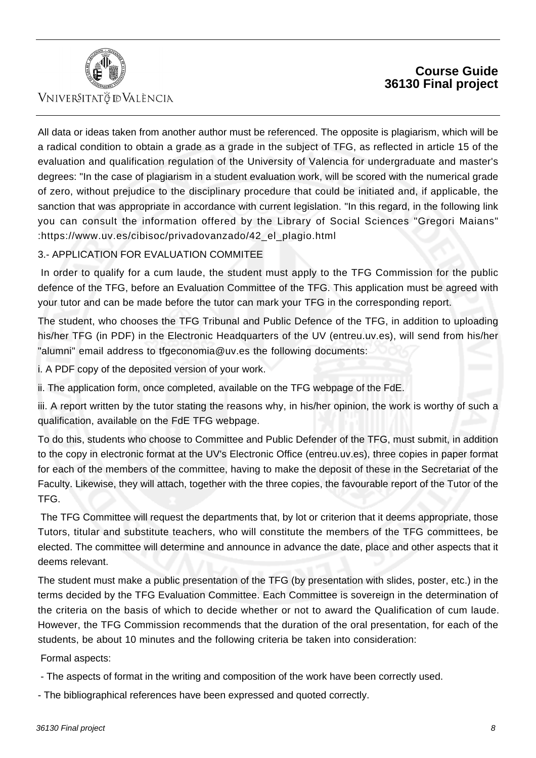



All data or ideas taken from another author must be referenced. The opposite is plagiarism, which will be a radical condition to obtain a grade as a grade in the subject of TFG, as reflected in article 15 of the evaluation and qualification regulation of the University of Valencia for undergraduate and master's degrees: "In the case of plagiarism in a student evaluation work, will be scored with the numerical grade of zero, without prejudice to the disciplinary procedure that could be initiated and, if applicable, the sanction that was appropriate in accordance with current legislation. "In this regard, in the following link you can consult the information offered by the Library of Social Sciences "Gregori Maians" :https://www.uv.es/cibisoc/privadovanzado/42\_el\_plagio.html

#### 3.- APPLICATION FOR EVALUATION COMMITEE

 In order to qualify for a cum laude, the student must apply to the TFG Commission for the public defence of the TFG, before an Evaluation Committee of the TFG. This application must be agreed with your tutor and can be made before the tutor can mark your TFG in the corresponding report.

The student, who chooses the TFG Tribunal and Public Defence of the TFG, in addition to uploading his/her TFG (in PDF) in the Electronic Headquarters of the UV (entreu.uv.es), will send from his/her "alumni" email address to tfgeconomia@uv.es the following documents:

i. A PDF copy of the deposited version of your work.

ii. The application form, once completed, available on the TFG webpage of the FdE.

iii. A report written by the tutor stating the reasons why, in his/her opinion, the work is worthy of such a qualification, available on the FdE TFG webpage.

To do this, students who choose to Committee and Public Defender of the TFG, must submit, in addition to the copy in electronic format at the UV's Electronic Office (entreu.uv.es), three copies in paper format for each of the members of the committee, having to make the deposit of these in the Secretariat of the Faculty. Likewise, they will attach, together with the three copies, the favourable report of the Tutor of the TFG.

 The TFG Committee will request the departments that, by lot or criterion that it deems appropriate, those Tutors, titular and substitute teachers, who will constitute the members of the TFG committees, be elected. The committee will determine and announce in advance the date, place and other aspects that it deems relevant.

The student must make a public presentation of the TFG (by presentation with slides, poster, etc.) in the terms decided by the TFG Evaluation Committee. Each Committee is sovereign in the determination of the criteria on the basis of which to decide whether or not to award the Qualification of cum laude. However, the TFG Commission recommends that the duration of the oral presentation, for each of the students, be about 10 minutes and the following criteria be taken into consideration:

Formal aspects:

- The aspects of format in the writing and composition of the work have been correctly used.

- The bibliographical references have been expressed and quoted correctly.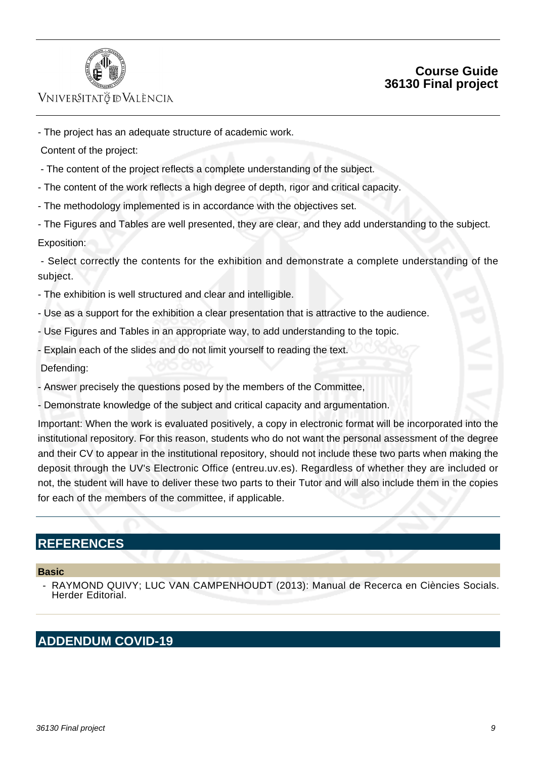

## **Course Guide 36130 Final project**

- The project has an adequate structure of academic work.

Content of the project:

- The content of the project reflects a complete understanding of the subject.
- The content of the work reflects a high degree of depth, rigor and critical capacity.
- The methodology implemented is in accordance with the objectives set.

- The Figures and Tables are well presented, they are clear, and they add understanding to the subject. Exposition:

 - Select correctly the contents for the exhibition and demonstrate a complete understanding of the subject.

- The exhibition is well structured and clear and intelligible.
- Use as a support for the exhibition a clear presentation that is attractive to the audience.
- Use Figures and Tables in an appropriate way, to add understanding to the topic.
- Explain each of the slides and do not limit yourself to reading the text.

Defending:

- Answer precisely the questions posed by the members of the Committee,
- Demonstrate knowledge of the subject and critical capacity and argumentation.

Important: When the work is evaluated positively, a copy in electronic format will be incorporated into the institutional repository. For this reason, students who do not want the personal assessment of the degree and their CV to appear in the institutional repository, should not include these two parts when making the deposit through the UV's Electronic Office (entreu.uv.es). Regardless of whether they are included or not, the student will have to deliver these two parts to their Tutor and will also include them in the copies for each of the members of the committee, if applicable.

## **REFERENCES**

#### **Basic**

 - RAYMOND QUIVY; LUC VAN CAMPENHOUDT (2013): Manual de Recerca en Ciències Socials. Herder Editorial.

## **ADDENDUM COVID-19**